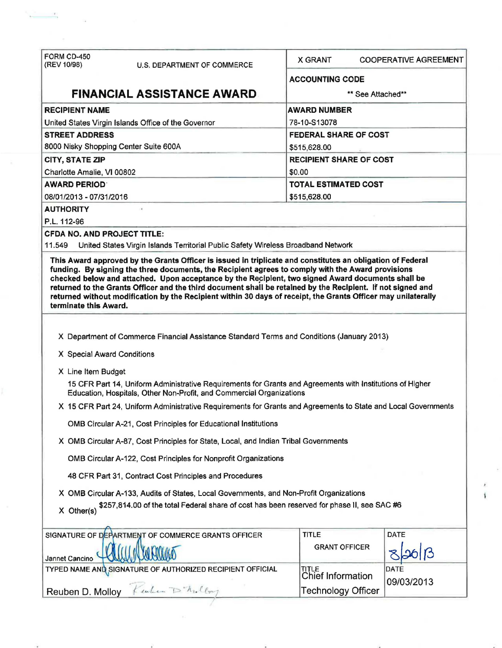| FORM CD-450                                                                                                                                                                                                                                                                                                                                                                                                                                                     | <b>X GRANT</b>                 |                             | <b>COOPERATIVE AGREEMENT</b> |  |  |  |
|-----------------------------------------------------------------------------------------------------------------------------------------------------------------------------------------------------------------------------------------------------------------------------------------------------------------------------------------------------------------------------------------------------------------------------------------------------------------|--------------------------------|-----------------------------|------------------------------|--|--|--|
| (REV 10/98)<br>U.S. DEPARTMENT OF COMMERCE                                                                                                                                                                                                                                                                                                                                                                                                                      |                                |                             |                              |  |  |  |
| <b>FINANCIAL ASSISTANCE AWARD.</b>                                                                                                                                                                                                                                                                                                                                                                                                                              | <b>ACCOUNTING CODE</b>         |                             |                              |  |  |  |
|                                                                                                                                                                                                                                                                                                                                                                                                                                                                 | ** See Attached**              |                             |                              |  |  |  |
| <b>RECIPIENT NAME</b>                                                                                                                                                                                                                                                                                                                                                                                                                                           | <b>AWARD NUMBER</b>            |                             |                              |  |  |  |
| United States Virgin Islands Office of the Governor                                                                                                                                                                                                                                                                                                                                                                                                             | 78-10-S13078                   |                             |                              |  |  |  |
| <b>STREET ADDRESS</b>                                                                                                                                                                                                                                                                                                                                                                                                                                           | <b>FEDERAL SHARE OF COST</b>   |                             |                              |  |  |  |
| 8000 Nisky Shopping Center Suite 600A                                                                                                                                                                                                                                                                                                                                                                                                                           | \$515,628.00                   |                             |                              |  |  |  |
| CITY, STATE ZIP                                                                                                                                                                                                                                                                                                                                                                                                                                                 | <b>RECIPIENT SHARE OF COST</b> |                             |                              |  |  |  |
| Charlotte Amalie, VI 00802                                                                                                                                                                                                                                                                                                                                                                                                                                      | \$0.00                         |                             |                              |  |  |  |
| <b>AWARD PERIOD</b>                                                                                                                                                                                                                                                                                                                                                                                                                                             |                                | <b>TOTAL ESTIMATED COST</b> |                              |  |  |  |
| 08/01/2013 - 07/31/2016<br><b>AUTHORITY</b>                                                                                                                                                                                                                                                                                                                                                                                                                     | \$515,628.00                   |                             |                              |  |  |  |
| P.L. 112-96                                                                                                                                                                                                                                                                                                                                                                                                                                                     |                                |                             |                              |  |  |  |
| <b>CFDA NO. AND PROJECT TITLE:</b>                                                                                                                                                                                                                                                                                                                                                                                                                              |                                |                             |                              |  |  |  |
| 11.549<br>United States Virgin Islands Territorial Public Safety Wireless Broadband Network                                                                                                                                                                                                                                                                                                                                                                     |                                |                             |                              |  |  |  |
| funding. By signing the three documents, the Recipient agrees to comply with the Award provisions<br>checked below and attached. Upon acceptance by the Recipient, two signed Award documents shall be<br>returned to the Grants Officer and the third document shall be retained by the Recipient. If not signed and<br>returned without modification by the Recipient within 30 days of receipt, the Grants Officer may unilaterally<br>terminate this Award. |                                |                             |                              |  |  |  |
| X Department of Commerce Financial Assistance Standard Terms and Conditions (January 2013)<br>X Special Award Conditions                                                                                                                                                                                                                                                                                                                                        |                                |                             |                              |  |  |  |
|                                                                                                                                                                                                                                                                                                                                                                                                                                                                 |                                |                             |                              |  |  |  |
| X Line Item Budget<br>15 CFR Part 14, Uniform Administrative Requirements for Grants and Agreements with Institutions of Higher<br>Education, Hospitals, Other Non-Profit, and Commercial Organizations                                                                                                                                                                                                                                                         |                                |                             |                              |  |  |  |
| X 15 CFR Part 24, Uniform Administrative Requirements for Grants and Agreements to State and Local Governments                                                                                                                                                                                                                                                                                                                                                  |                                |                             |                              |  |  |  |
| OMB Circular A-21, Cost Principles for Educational Institutions                                                                                                                                                                                                                                                                                                                                                                                                 |                                |                             |                              |  |  |  |
| X OMB Circular A-87, Cost Principles for State, Local, and Indian Tribal Governments                                                                                                                                                                                                                                                                                                                                                                            |                                |                             |                              |  |  |  |
| OMB Circular A-122, Cost Principles for Nonprofit Organizations                                                                                                                                                                                                                                                                                                                                                                                                 |                                |                             |                              |  |  |  |
| 48 CFR Part 31, Contract Cost Principles and Procedures                                                                                                                                                                                                                                                                                                                                                                                                         |                                |                             |                              |  |  |  |
| X OMB Circular A-133, Audits of States, Local Governments, and Non-Profit Organizations<br>\$257,814.00 of the total Federal share of cost has been reserved for phase II, see SAC #6<br>X Other(s)                                                                                                                                                                                                                                                             |                                |                             |                              |  |  |  |
| SIGNATURE OF DEPARTMENT OF COMMERCE GRANTS OFFICER                                                                                                                                                                                                                                                                                                                                                                                                              | <b>TITLE</b>                   |                             | <b>DATE</b>                  |  |  |  |
| Jannet Cancino                                                                                                                                                                                                                                                                                                                                                                                                                                                  | <b>GRANT OFFICER</b>           |                             |                              |  |  |  |
| TYPED NAME AND SIGNATURE OF AUTHORIZED RECIPIENT OFFICIAL                                                                                                                                                                                                                                                                                                                                                                                                       | TITLE<br>Chief Information     |                             | DATE<br>09/03/2013           |  |  |  |
| Reuben D. Molloy Keuben D'Andery                                                                                                                                                                                                                                                                                                                                                                                                                                | <b>Technology Officer</b>      |                             |                              |  |  |  |

ł.

 $\frac{1}{\sqrt{2}}$